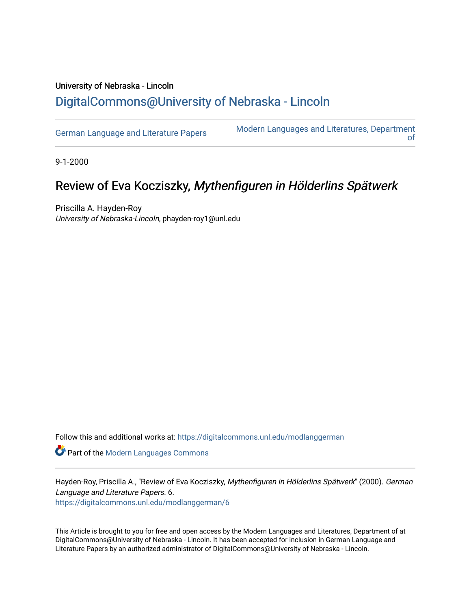## University of Nebraska - Lincoln [DigitalCommons@University of Nebraska - Lincoln](https://digitalcommons.unl.edu/)

[German Language and Literature Papers](https://digitalcommons.unl.edu/modlanggerman) Modern Languages and Literatures, Department [of](https://digitalcommons.unl.edu/modernlanguages) 

9-1-2000

# Review of Eva Kocziszky, Mythenfiguren in Hölderlins Spätwerk

Priscilla A. Hayden-Roy University of Nebraska-Lincoln, phayden-roy1@unl.edu

Follow this and additional works at: [https://digitalcommons.unl.edu/modlanggerman](https://digitalcommons.unl.edu/modlanggerman?utm_source=digitalcommons.unl.edu%2Fmodlanggerman%2F6&utm_medium=PDF&utm_campaign=PDFCoverPages) 

Part of the [Modern Languages Commons](http://network.bepress.com/hgg/discipline/1130?utm_source=digitalcommons.unl.edu%2Fmodlanggerman%2F6&utm_medium=PDF&utm_campaign=PDFCoverPages) 

Hayden-Roy, Priscilla A., "Review of Eva Kocziszky, Mythenfiguren in Hölderlins Spätwerk" (2000). German Language and Literature Papers. 6. [https://digitalcommons.unl.edu/modlanggerman/6](https://digitalcommons.unl.edu/modlanggerman/6?utm_source=digitalcommons.unl.edu%2Fmodlanggerman%2F6&utm_medium=PDF&utm_campaign=PDFCoverPages) 

This Article is brought to you for free and open access by the Modern Languages and Literatures, Department of at DigitalCommons@University of Nebraska - Lincoln. It has been accepted for inclusion in German Language and Literature Papers by an authorized administrator of DigitalCommons@University of Nebraska - Lincoln.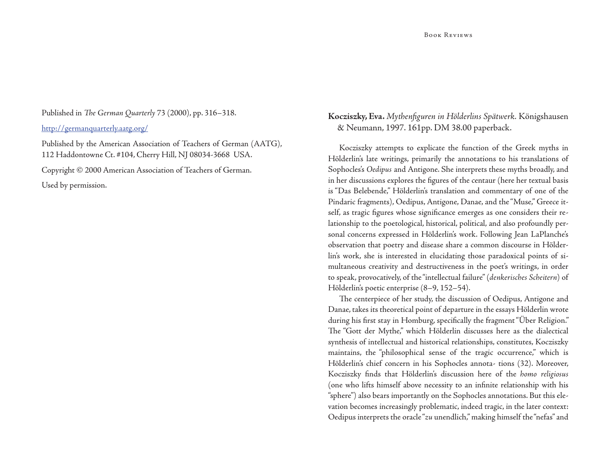### Published in *The German Quarterly 73 (2000)*, pp. 316-318.

http://germanquarterly.aatg.org/

Published by the American Association of Teachers of German (AATG), 112 Haddontowne Ct. #104, Cherry Hill, NJ 08034-3668 USA.

Copyright © 2000 American Association of Teachers of German.

Used by permission.

## **Kocziszky, Eva.** *Mythenfi guren in Hölderlins Spätwerk.* Königshausen & Neumann, 1997. 161pp. DM 38.00 paperback.

Kocziszky attempts to explicate the function of the Greek myths in Hölderlin's late writings, primarily the annotations to his translations of Sophocles's *Oedipus* and Antigone. She interprets these myths broadly, and in her discussions explores the figures of the centaur (here her textual basis is "Das Belebende," Hölderlin's translation and commentary of one of the Pindaric fragments), Oedipus, Antigone, Danae, and the "Muse," Greece itself, as tragic figures whose significance emerges as one considers their relationship to the poetological, historical, political, and also profoundly personal concerns expressed in Hölderlin's work. Following Jean LaPlanche's observation that poetry and disease share a common discourse in Hölderlin's work, she is interested in elucidating those paradoxical points of simultaneous creativity and destructiveness in the poet's writings, in order to speak, provocatively, of the "intellectual failure" (*denkerisches Scheitern*) of Hölderlin's poetic enterprise (8–9, 152–54).

The centerpiece of her study, the discussion of Oedipus, Antigone and Danae, takes its theoretical point of departure in the essays Hölderlin wrote during his first stay in Homburg, specifically the fragment "Über Religion." The "Gott der Mythe," which Hölderlin discusses here as the dialectical synthesis of intellectual and historical relationships, constitutes, Kocziszky maintains, the "philosophical sense of the tragic occurrence," which is Hölderlin's chief concern in his Sophocles annota- tions (32). Moreover, Kocziszky finds that Hölderlin's discussion here of the *homo religiosus* (one who lifts himself above necessity to an infinite relationship with his "sphere") also bears importantly on the Sophocles annotations. But this elevation becomes increasingly problematic, indeed tragic, in the later context: Oedipus interprets the oracle "*zu* unendlich," making himself the "nefas" and